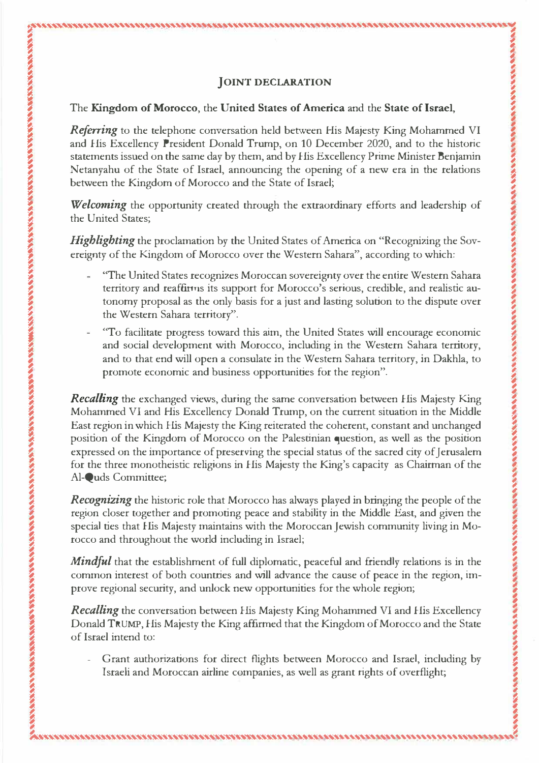$\mathcal{D}$   $\mathcal{D}$   $\mathcal{D}$   $\mathcal{D}$   $\mathcal{D}$   $\mathcal{D}$   $\mathcal{D}$   $\mathcal{D}$   $\mathcal{D}$   $\mathcal{D}$   $\mathcal{D}$   $\mathcal{D}$   $\mathcal{D}$   $\mathcal{D}$   $\mathcal{D}$   $\mathcal{D}$   $\mathcal{D}$   $\mathcal{D}$   $\mathcal{D}$   $\mathcal{D}$   $\mathcal{D}$   $\mathcal{D}$   $\mathcal{D}$   $\mathcal{D}$   $\mathcal{$ 

,, *:*

�'''''-'-'�'-"''''''''''''''''''''''''"'''"''',.'''-'''''''''''''''-''-'-''''-''''�'''�''''''''''''"'-�

## � The **Kingdom of Morocco, the United States ofAmerica** and the **State of Israel,**

� *�* 

**B** 

 $\ddot{\phantom{0}}$ 

 $\ddot{\bm s}$ 

�

�

ğ. *�* 

**WANTED STATE** 

Netanyahu of the State of Israel, announcing the opening of a new era in the relations The Kingdom of Morocco, the United States of America and the State of Israel,<br> *Referring* to the telephone conversation held between His Majesty King Mohammed VI and His Excellency President Donald Trump, on 10 December 2020, and to the historic and His Excellency President Donald Trump, on 10 December 2020, and to the historic statements issued on the same day by them, and by His Excellency Prime Minister Benjamin  $\mathcal{L}$  between the Kingdom of Morocco and the State of Israel;

between the Kingdom of Morocco and the State of Israel;<br>
Welcoming the opportunity created through the extraordinary efforts and leadership of the United States;

*Highlighting* the proclamation by the United States of America on "Recognizing the Sov-Fightighting the opportunity created through the extraordinary errors and icadersinp of<br>the United States;<br>*Highlighting* the proclamation by the United States of America on "Recognizing the Sov-<br>ereignty of the Kingdom

territory and reaffinns its support for Morocco's serious, credible, and realistic au-<sup>��</sup> The United States recognizes Moroccan sovereignty over the entire Western Sahara ,  $\ddot{\bm{\beta}}$ tonomy proposal as the only basis for a just and lasting solution to the dispute over the Western Sahara territory".

�

� **i** 

**AND 1400** 

**12220** 

�

**A** 

**SOPP** 

: **I , 1979** 

**,** 

and social development with Morocco, including in the Western Sahara territory, and social development with Moloceo, including in the western Sahara territory, and to that end will open a consulate in the Western Sahara territory, in Dakhla, to promote economic and business opportunities for the regio promote economic and business opportunities for the region". *'To facilitate progress toward this aim, the United States will encourage economic* 

**Recalling** the exchanged views, during the same conversation between His Majesty King Mohammed VI and His Excellency Donald Trump, on the current situation in the Middle Recalling the exchanged views, during the same conversation between His Majesty King<br>Mohammed VI and His Excellency Donald Trump, on the current situation in the Middle<br>East region in which His Majesty the King reiterated position of the Kingdom of Morocco on the Palestinian question, as well as the position expressed on the importance of preserving the special status of the sacred city of Jerusalem for the three monotheistic religions in His Majesty the King's capacity as Chairman of the Al-Quds Committee; East region in which His Majesty the King reiterated the coherent, constant and unchanged<br>position of the Kingdom of Morocco on the Palestinian question, as well as the position position of the Kingdom of Morocco on the Palestinian question, as well as the position<br>expressed on the importance of preserving the special status of the sacred city of Jerusalem<br>for the three monotheistic religions in H

special des that This Majesty manhams with the Moroccan Jewish community hving in Mo-<br>rocco and throughout the world including in Israel; Recognizing the historic role that Morocco has always played in bringing the people of the region closer together and promoting peace and stability in the Middle East, and given the special ties that His Majesty maintains with the Moroccan Jewish community living in Mo- $\bullet$ 

Mindful that the establishment of full diplomatic, peaceful and friendly relations is in the Mindful that the establishment of full diplomatic, peaceful and friendly relations is in the common interest of both countries and will advance the cause of peace in the region, improve regional security, and unlock new opportunities for the whole region; common interest of both countries and will advance the cause of peace in the region, improve regional security, and unlock new opportunities for the whole region;

Recalling the conversation between His Majesty King Mohammed VI and His Excellency<br>Donald TRUMP, His Majesty the King affirmed that the Kingdom of Morocco and the State<br>of Israel intend to:<br>Frant authorizations for direct Donald TRUMP, His Majesty the King affirmed that the Kingdom of Morocco and the State of Israel intend to:

� Israeli and Moroccan airline companies, as well as grant rights of overflight; **i**

� � *:* 

' , ' *:* **�"'''''''''''''''''''�''''''''''''''''"''''''''''''�'''''''''''-'''''''''''''"'"'''''''''''J**